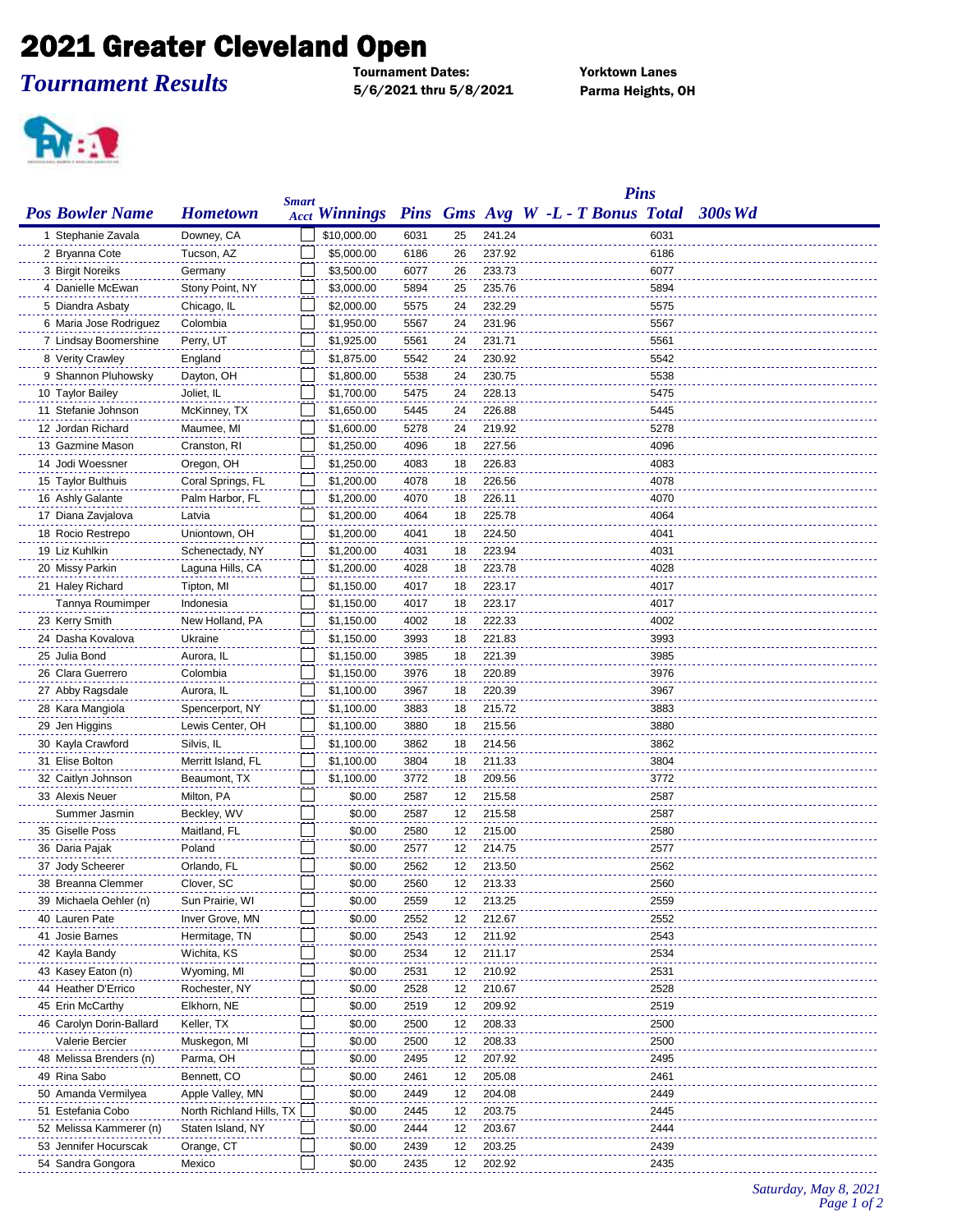## 2021 Greater Cleveland Open

## *Tournament Results*

Tournament Dates: Yorktown Lanes 5/6/2021 thru 5/8/2021 Parma Heights, OH



|                          |                          |              |                      |      |    |        | <b>Pins</b>                       |      |            |
|--------------------------|--------------------------|--------------|----------------------|------|----|--------|-----------------------------------|------|------------|
| <b>Pos Bowler Name</b>   | <b>Hometown</b>          | <b>Smart</b> | <b>Acct Winnings</b> |      |    |        | Pins Gms Avg W -L - T Bonus Total |      | $-300s$ Wd |
| 1 Stephanie Zavala       | Downey, CA               |              | \$10,000.00          | 6031 | 25 | 241.24 |                                   | 6031 |            |
| 2 Bryanna Cote           | Tucson, AZ               |              | \$5,000.00           | 6186 | 26 | 237.92 |                                   | 6186 |            |
| 3 Birgit Noreiks         | Germany                  |              | \$3,500.00           | 6077 | 26 | 233.73 |                                   | 6077 |            |
| 4 Danielle McEwan        | Stony Point, NY          |              | \$3,000.00           | 5894 | 25 | 235.76 |                                   | 5894 |            |
| 5 Diandra Asbaty         | Chicago, IL              |              | \$2,000.00           | 5575 | 24 | 232.29 |                                   | 5575 |            |
| 6 Maria Jose Rodriguez   | Colombia                 |              | \$1,950.00           | 5567 | 24 | 231.96 |                                   | 5567 |            |
| 7 Lindsay Boomershine    | Perry, UT                |              | \$1,925.00           | 5561 | 24 | 231.71 |                                   | 5561 |            |
| 8 Verity Crawley         | England                  |              | \$1,875.00           | 5542 | 24 | 230.92 |                                   | 5542 |            |
| 9 Shannon Pluhowsky      | Dayton, OH               |              | \$1,800.00           | 5538 | 24 | 230.75 |                                   | 5538 |            |
| 10 Taylor Bailey         | Joliet, IL               |              | \$1,700.00           | 5475 | 24 | 228.13 |                                   | 5475 |            |
| 11 Stefanie Johnson      | McKinney, TX             |              | \$1,650.00           | 5445 | 24 | 226.88 |                                   | 5445 |            |
| 12 Jordan Richard        | Maumee, MI               |              | \$1,600.00           | 5278 | 24 | 219.92 |                                   | 5278 |            |
| 13 Gazmine Mason         | Cranston, RI             |              | \$1,250.00           | 4096 | 18 | 227.56 |                                   | 4096 |            |
| 14 Jodi Woessner         | Oregon, OH               |              | \$1,250.00           | 4083 | 18 | 226.83 |                                   | 4083 |            |
| 15 Taylor Bulthuis       | Coral Springs, FL        |              | \$1,200.00           | 4078 | 18 | 226.56 |                                   | 4078 |            |
| 16 Ashly Galante         | Palm Harbor, FL          |              | \$1,200.00           | 4070 | 18 | 226.11 |                                   | 4070 |            |
| 17 Diana Zavjalova       | Latvia                   |              | \$1,200.00           | 4064 | 18 | 225.78 |                                   | 4064 |            |
|                          |                          |              |                      |      | 18 | 224.50 |                                   | 4041 |            |
| 18 Rocio Restrepo        | Uniontown, OH            |              | \$1,200.00           | 4041 |    |        |                                   |      |            |
| 19 Liz Kuhlkin           | Schenectady, NY          |              | \$1,200.00           | 4031 | 18 | 223.94 |                                   | 4031 |            |
| 20 Missy Parkin          | Laguna Hills, CA         |              | \$1,200.00           | 4028 | 18 | 223.78 |                                   | 4028 |            |
| 21 Haley Richard         | Tipton, MI               |              | \$1,150.00           | 4017 | 18 | 223.17 |                                   | 4017 |            |
| Tannya Roumimper         | Indonesia                |              | \$1,150.00           | 4017 | 18 | 223.17 |                                   | 4017 |            |
| 23 Kerry Smith           | New Holland, PA          |              | \$1,150.00           | 4002 | 18 | 222.33 |                                   | 4002 |            |
| 24 Dasha Kovalova        | Ukraine                  |              | \$1,150.00           | 3993 | 18 | 221.83 |                                   | 3993 |            |
| 25 Julia Bond            | Aurora, IL               |              | \$1,150.00           | 3985 | 18 | 221.39 |                                   | 3985 |            |
| 26 Clara Guerrero        | Colombia                 |              | \$1,150.00           | 3976 | 18 | 220.89 |                                   | 3976 |            |
| 27 Abby Ragsdale         | Aurora, IL               |              | \$1,100.00           | 3967 | 18 | 220.39 |                                   | 3967 |            |
| 28 Kara Mangiola         | Spencerport, NY          |              | \$1,100.00           | 3883 | 18 | 215.72 |                                   | 3883 |            |
| 29 Jen Higgins           | Lewis Center, OH         |              | \$1,100.00           | 3880 | 18 | 215.56 |                                   | 3880 |            |
| 30 Kayla Crawford        | Silvis, IL               |              | \$1,100.00           | 3862 | 18 | 214.56 |                                   | 3862 |            |
| 31 Elise Bolton          | Merritt Island, FL       |              | \$1,100.00           | 3804 | 18 | 211.33 |                                   | 3804 |            |
| 32 Caitlyn Johnson       | Beaumont, TX             |              | \$1,100.00           | 3772 | 18 | 209.56 |                                   | 3772 |            |
| 33 Alexis Neuer          | Milton, PA               |              | \$0.00               | 2587 | 12 | 215.58 |                                   | 2587 |            |
| Summer Jasmin            | Beckley, WV              |              | \$0.00               | 2587 | 12 | 215.58 |                                   | 2587 |            |
| 35 Giselle Poss          | Maitland, FL             |              | \$0.00               | 2580 | 12 | 215.00 |                                   | 2580 |            |
| 36 Daria Pajak           | Poland                   |              | \$0.00               | 2577 | 12 | 214.75 |                                   | 2577 |            |
| 37 Jody Scheerer         | Orlando, FL              |              | \$0.00               | 2562 | 12 | 213.50 |                                   | 2562 |            |
| 38 Breanna Clemmer       | Clover, SC               |              | \$0.00               | 2560 | 12 | 213.33 |                                   | 2560 |            |
| 39 Michaela Oehler (n)   | Sun Prairie, WI          |              | \$0.00               | 2559 | 12 | 213.25 |                                   | 2559 |            |
| 40 Lauren Pate           | Inver Grove, MN          |              | \$0.00               | 2552 | 12 | 212.67 |                                   | 2552 |            |
| 41 Josie Barnes          | Hermitage, TN            |              | \$0.00               | 2543 | 12 | 211.92 |                                   | 2543 |            |
| 42 Kayla Bandy           | Wichita, KS              |              | \$0.00               | 2534 | 12 | 211.17 |                                   | 2534 |            |
| 43 Kasey Eaton (n)       | Wyoming, MI              |              | \$0.00               | 2531 | 12 | 210.92 |                                   | 2531 |            |
| 44 Heather D'Errico      | Rochester, NY            |              | \$0.00               | 2528 | 12 | 210.67 |                                   | 2528 |            |
| 45 Erin McCarthy         | Elkhorn, NE              |              | \$0.00               | 2519 | 12 | 209.92 |                                   | 2519 |            |
| 46 Carolyn Dorin-Ballard | Keller, TX               |              | \$0.00               | 2500 | 12 | 208.33 |                                   | 2500 |            |
| Valerie Bercier          | Muskegon, MI             |              | \$0.00               | 2500 | 12 | 208.33 |                                   | 2500 |            |
| 48 Melissa Brenders (n)  | Parma, OH                |              | \$0.00               | 2495 | 12 | 207.92 |                                   | 2495 |            |
| 49 Rina Sabo             | Bennett, CO              |              | \$0.00               | 2461 | 12 | 205.08 |                                   | 2461 |            |
| 50 Amanda Vermilyea      | Apple Valley, MN         |              | \$0.00               | 2449 | 12 | 204.08 |                                   | 2449 |            |
| 51 Estefania Cobo        | North Richland Hills, TX |              | \$0.00               | 2445 | 12 | 203.75 |                                   | 2445 |            |
| 52 Melissa Kammerer (n)  | Staten Island, NY        |              | \$0.00               | 2444 | 12 | 203.67 |                                   | 2444 |            |
| 53 Jennifer Hocurscak    | Orange, CT               |              | \$0.00               | 2439 | 12 | 203.25 |                                   | 2439 |            |
| 54 Sandra Gongora        | Mexico                   |              | \$0.00               | 2435 | 12 | 202.92 |                                   | 2435 |            |
|                          |                          |              |                      |      |    |        |                                   |      |            |

*Saturday, May 8, 2021 Page 1 of 2*